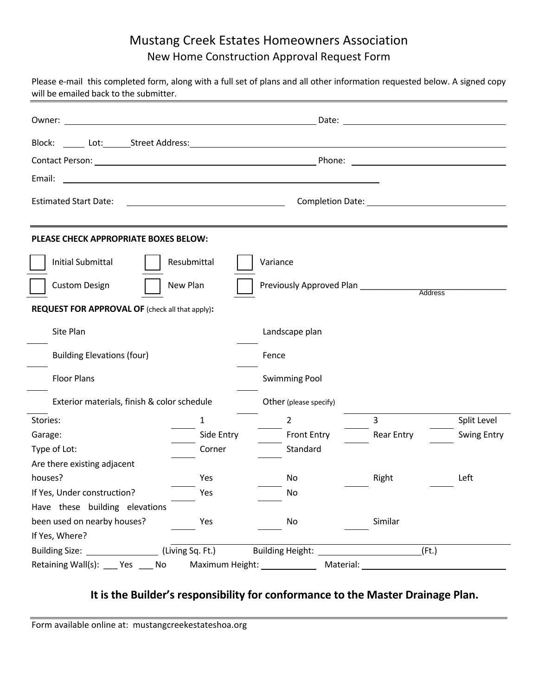## Mustang Creek Estates Homeowners Association New Home Construction Approval Request Form

| Please e-mail this completed form, along with a full set of plans and all other information requested below. A signed copy<br>will be emailed back to the submitter. |                                                              |                          |                                       |                    |
|----------------------------------------------------------------------------------------------------------------------------------------------------------------------|--------------------------------------------------------------|--------------------------|---------------------------------------|--------------------|
|                                                                                                                                                                      |                                                              |                          |                                       |                    |
|                                                                                                                                                                      |                                                              |                          |                                       |                    |
|                                                                                                                                                                      |                                                              |                          |                                       |                    |
| Email:                                                                                                                                                               |                                                              |                          |                                       |                    |
| <b>Estimated Start Date:</b>                                                                                                                                         | <u> 1989 - Johann Stein, mars an de Britannich (b. 1989)</u> |                          | Completion Date: The Completion Date: |                    |
| PLEASE CHECK APPROPRIATE BOXES BELOW:                                                                                                                                |                                                              |                          |                                       |                    |
| Initial Submittal                                                                                                                                                    | Resubmittal                                                  | Variance                 |                                       |                    |
| New Plan<br><b>Custom Design</b>                                                                                                                                     |                                                              | Previously Approved Plan | Address                               |                    |
| REQUEST FOR APPROVAL OF (check all that apply):                                                                                                                      |                                                              |                          |                                       |                    |
| Site Plan                                                                                                                                                            |                                                              |                          |                                       |                    |
|                                                                                                                                                                      |                                                              | Landscape plan           |                                       |                    |
| <b>Building Elevations (four)</b>                                                                                                                                    |                                                              | Fence                    |                                       |                    |
| <b>Floor Plans</b>                                                                                                                                                   |                                                              | <b>Swimming Pool</b>     |                                       |                    |
| Exterior materials, finish & color schedule                                                                                                                          |                                                              | Other (please specify)   |                                       |                    |
| Stories:                                                                                                                                                             | $\mathbf{1}$                                                 | $\overline{2}$           | $\overline{3}$                        | Split Level        |
| Garage:                                                                                                                                                              | Side Entry                                                   | <b>Front Entry</b>       | <b>Rear Entry</b>                     | <b>Swing Entry</b> |
| Type of Lot:                                                                                                                                                         | Corner                                                       | Standard                 |                                       |                    |
| Are there existing adjacent                                                                                                                                          |                                                              |                          |                                       |                    |
| houses?                                                                                                                                                              | Yes                                                          | No                       | Right                                 | Left               |
| If Yes, Under construction?                                                                                                                                          | Yes                                                          | No                       |                                       |                    |
| Have these building elevations                                                                                                                                       |                                                              |                          |                                       |                    |
| been used on nearby houses?                                                                                                                                          | Yes                                                          | No                       | Similar                               |                    |
| If Yes, Where?                                                                                                                                                       |                                                              |                          |                                       |                    |
| Building Size: ______________                                                                                                                                        | $\_$ (Living Sq. Ft.)                                        | <b>Building Height:</b>  | (Ft.)                                 |                    |
| Retaining Wall(s): ___<br>Yes<br>No                                                                                                                                  | Maximum Height:                                              | Material:                |                                       |                    |

## **It is the Builder's responsibility for conformance to the Master Drainage Plan.**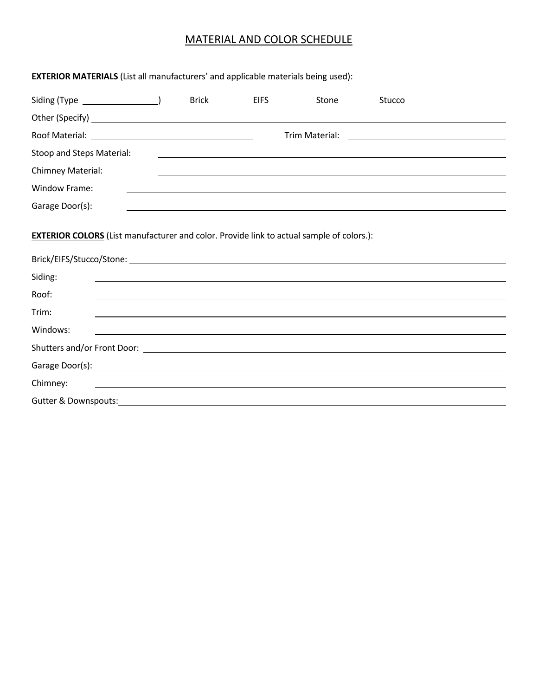## MATERIAL AND COLOR SCHEDULE

| <b>EXTERIOR MATERIALS</b> (List all manufacturers' and applicable materials being used): |              |             |                                                                                                                       |                                                                                                                      |  |
|------------------------------------------------------------------------------------------|--------------|-------------|-----------------------------------------------------------------------------------------------------------------------|----------------------------------------------------------------------------------------------------------------------|--|
|                                                                                          | <b>Brick</b> | <b>EIFS</b> | Stone                                                                                                                 | Stucco                                                                                                               |  |
|                                                                                          |              |             |                                                                                                                       |                                                                                                                      |  |
|                                                                                          |              |             |                                                                                                                       | Trim Material: <u>_______________________________</u>                                                                |  |
| Stoop and Steps Material:                                                                |              |             |                                                                                                                       |                                                                                                                      |  |
| Chimney Material:                                                                        |              |             |                                                                                                                       |                                                                                                                      |  |
| <b>Window Frame:</b>                                                                     |              |             |                                                                                                                       |                                                                                                                      |  |
| Garage Door(s):                                                                          |              |             |                                                                                                                       |                                                                                                                      |  |
|                                                                                          |              |             |                                                                                                                       |                                                                                                                      |  |
| Siding:<br>Roof:                                                                         |              |             |                                                                                                                       | ,我们也不会有什么。""我们的人,我们也不会有什么?""我们的人,我们也不会有什么?""我们的人,我们也不会有什么?""我们的人,我们也不会有什么?""我们的人                                     |  |
| Trim:                                                                                    |              |             |                                                                                                                       |                                                                                                                      |  |
| Windows:                                                                                 |              |             |                                                                                                                       |                                                                                                                      |  |
|                                                                                          |              |             |                                                                                                                       |                                                                                                                      |  |
|                                                                                          |              |             |                                                                                                                       |                                                                                                                      |  |
| Chimney:                                                                                 |              |             |                                                                                                                       | <u> 1989 - Johann John Stone, mensk politik en beskrivet og det forskeller og det forskeller og det forskeller o</u> |  |
| <b>Gutter &amp; Downspouts:</b>                                                          |              |             | <u> 1989 - Johann Barn, amerikan besteman besteman besteman besteman besteman besteman besteman besteman besteman</u> |                                                                                                                      |  |